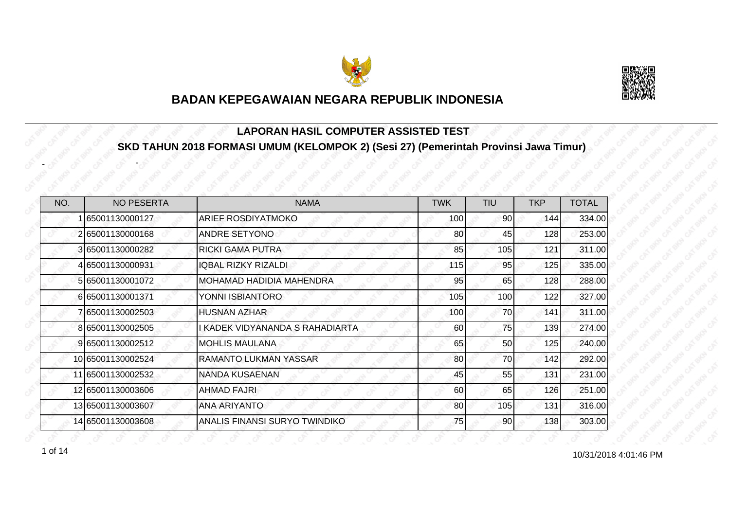



#### **LAPORAN HASIL COMPUTER ASSISTED TEST SKD TAHUN 2018 FORMASI UMUM (KELOMPOK 2) (Sesi 27) (Pemerintah Provinsi Jawa Timur)**

| NO. | <b>NO PESERTA</b> | <b>NAMA</b>                     | <b>TWK</b> | <b>TIU</b>      | <b>TKP</b> | <b>TOTAL</b> |
|-----|-------------------|---------------------------------|------------|-----------------|------------|--------------|
|     | 65001130000127    | <b>ARIEF ROSDIYATMOKO</b>       | 100        | 90 <sup>°</sup> | 1441       | 334.00       |
|     | 265001130000168   | <b>ANDRE SETYONO</b>            | 80         | 45              | 128        | 253.00       |
|     | 3 65001130000282  | <b>RICKI GAMA PUTRA</b>         | 85         | 105             | 121        | 311.00       |
|     | 4 65001130000931  | <b>IQBAL RIZKY RIZALDI</b>      | 115        | 95              | 125        | 335.00       |
|     | 5 65001130001072  | <b>MOHAMAD HADIDIA MAHENDRA</b> | 95         | 65              | 128        | 288.00       |
|     | 665001130001371   | YONNI ISBIANTORO                | 105        | 100             | 122        | 327.00       |
|     | 65001130002503    | <b>HUSNAN AZHAR</b>             | 100        | 70              | 141        | 311.00       |
|     | 8 65001130002505  | KADEK VIDYANANDA S RAHADIARTA   | 60         | 75              | 139        | 274.00       |
|     | 9 65001130002512  | <b>MOHLIS MAULANA</b>           | 65         | 50              | 125        | 240.00       |
|     | 10 65001130002524 | <b>RAMANTO LUKMAN YASSAR</b>    | 80         | 70              | 142        | 292.00       |
|     | 11 65001130002532 | NANDA KUSAENAN                  | 45         | 55              | 131        | 231.00       |
|     | 12 65001130003606 | AHMAD FAJRI                     | 60         | 65              | 126        | 251.00       |
|     | 13 65001130003607 | <b>ANA ARIYANTO</b>             | 80         | 105             | 131        | 316.00       |
|     | 14 65001130003608 | ANALIS FINANSI SURYO TWINDIKO   | 75         | 90              | 138        | 303.00       |

 $1 \text{ of } 14$   $10/31/20184:01:46 \text{ PM}$ 

-

-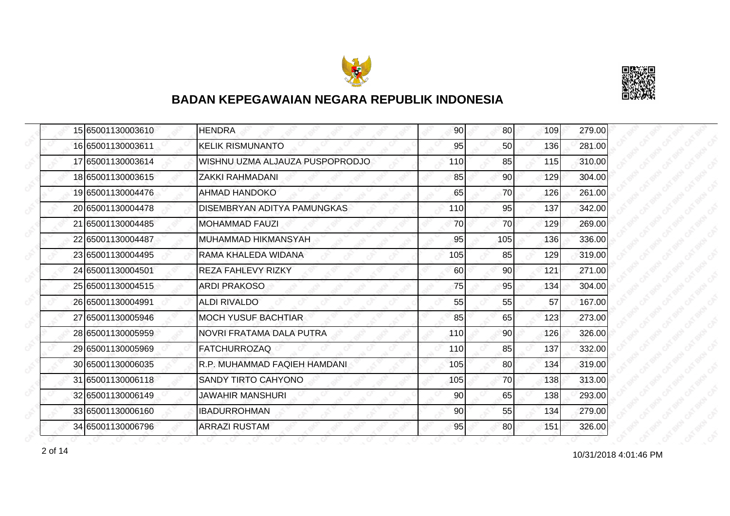



| 15 65001130003610 | <b>HENDRA</b>                      | 90  | 80 <sup>1</sup> | 109 | 279.00 |
|-------------------|------------------------------------|-----|-----------------|-----|--------|
| 16 65001130003611 | <b>KELIK RISMUNANTO</b>            | 95  | 50              | 136 | 281.00 |
| 17 65001130003614 | WISHNU UZMA ALJAUZA PUSPOPRODJO    | 110 | 85              | 115 | 310.00 |
| 18 65001130003615 | ZAKKI RAHMADANI                    | 85  | 90              | 129 | 304.00 |
| 19 65001130004476 | <b>AHMAD HANDOKO</b>               | 65  | 70              | 126 | 261.00 |
| 20165001130004478 | <b>DISEMBRYAN ADITYA PAMUNGKAS</b> | 110 | 95              | 137 | 342.00 |
| 21 65001130004485 | <b>MOHAMMAD FAUZI</b>              | 70  | 70              | 129 | 269.00 |
| 22 65001130004487 | MUHAMMAD HIKMANSYAH                | 95  | 105             | 136 | 336.00 |
| 23 65001130004495 | RAMA KHALEDA WIDANA                | 105 | 85              | 129 | 319.00 |
| 24 65001130004501 | <b>REZA FAHLEVY RIZKY</b>          | 60  | 90              | 121 | 271.00 |
| 25 65001130004515 | <b>ARDI PRAKOSO</b>                | 75  | 95              | 134 | 304.00 |
| 26 65001130004991 | <b>ALDI RIVALDO</b>                | 55  | 55              | 57  | 167.00 |
| 27 65001130005946 | <b>MOCH YUSUF BACHTIAR</b>         | 85  | 65              | 123 | 273.00 |
| 28 65001130005959 | NOVRI FRATAMA DALA PUTRA           | 110 | 90 <sub>0</sub> | 126 | 326.00 |
| 29 65001130005969 | <b>FATCHURROZAQ</b>                | 110 | 85              | 137 | 332.00 |
| 30 65001130006035 | R.P. MUHAMMAD FAQIEH HAMDANI       | 105 | 80 <sup>1</sup> | 134 | 319.00 |
| 31 65001130006118 | <b>SANDY TIRTO CAHYONO</b>         | 105 | 70              | 138 | 313.00 |
| 32 65001130006149 | JAWAHIR MANSHURI                   | 90  | 65              | 138 | 293.00 |
| 33 65001130006160 | <b>IBADURROHMAN</b>                | 90  | 55              | 134 | 279.00 |
| 34 65001130006796 | <b>ARRAZI RUSTAM</b>               | 95  | 80              | 151 | 326.00 |

10/31/2018 4:01:46 PM 2 of 14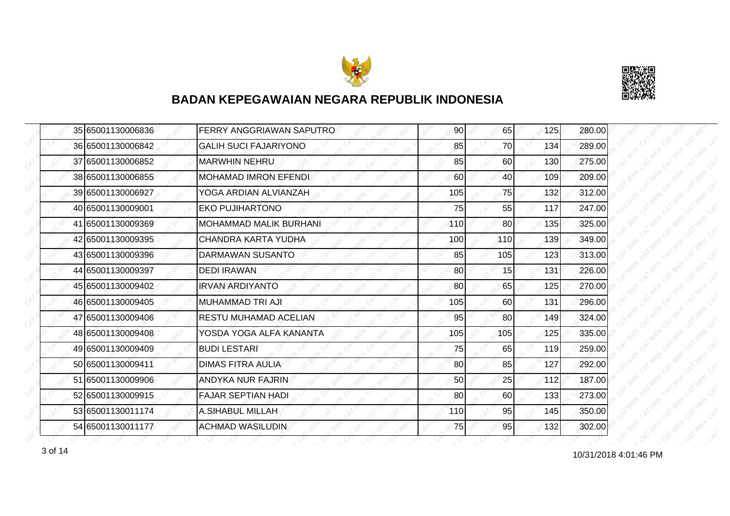



|  | 35 65001130006836 | FERRY ANGGRIAWAN SAPUTRO      | 90  | 65        | 125 | 280.00 |
|--|-------------------|-------------------------------|-----|-----------|-----|--------|
|  | 36 65001130006842 | <b>GALIH SUCI FAJARIYONO</b>  | 85  | 70        | 134 | 289.00 |
|  | 37 65001130006852 | <b>MARWHIN NEHRU</b>          | 85  | 60        | 130 | 275.00 |
|  | 38 65001130006855 | <b>MOHAMAD IMRON EFENDI</b>   | 60  | 40        | 109 | 209.00 |
|  | 39 65001130006927 | YOGA ARDIAN ALVIANZAH         | 105 | 75        | 132 | 312.00 |
|  | 40 65001130009001 | <b>EKO PUJIHARTONO</b>        | 75  | 55        | 117 | 247.00 |
|  | 41 65001130009369 | <b>MOHAMMAD MALIK BURHANI</b> | 110 | <b>80</b> | 135 | 325.00 |
|  | 42 65001130009395 | CHANDRA KARTA YUDHA           | 100 | 110       | 139 | 349.00 |
|  | 43 65001130009396 | DARMAWAN SUSANTO              | 85  | 105       | 123 | 313.00 |
|  | 44 65001130009397 | <b>DEDI IRAWAN</b>            | 80  | 15        | 131 | 226.00 |
|  | 45 65001130009402 | <b>IRVAN ARDIYANTO</b>        | 80  | 65        | 125 | 270.00 |
|  | 46 65001130009405 | MUHAMMAD TRI AJI              | 105 | 60        | 131 | 296.00 |
|  | 47 65001130009406 | <b>RESTU MUHAMAD ACELIAN</b>  | 95  | 80        | 149 | 324.00 |
|  | 48 65001130009408 | YOSDA YOGA ALFA KANANTA       | 105 | 105       | 125 | 335.00 |
|  | 49 65001130009409 | <b>BUDI LESTARI</b>           | 75  | 65        | 119 | 259.00 |
|  | 50 65001130009411 | <b>DIMAS FITRA AULIA</b>      | 80  | 85        | 127 | 292.00 |
|  | 51 65001130009906 | ANDYKA NUR FAJRIN             | 50  | 25        | 112 | 187.00 |
|  | 52165001130009915 | <b>FAJAR SEPTIAN HADI</b>     | 80  | 60        | 133 | 273.00 |
|  | 53 65001130011174 | <b>A.SIHABUL MILLAH</b>       | 110 | 95        | 145 | 350.00 |
|  | 54 65001130011177 | <b>ACHMAD WASILUDIN</b>       | 75  | 95        | 132 | 302.00 |

10/31/2018 4:01:46 PM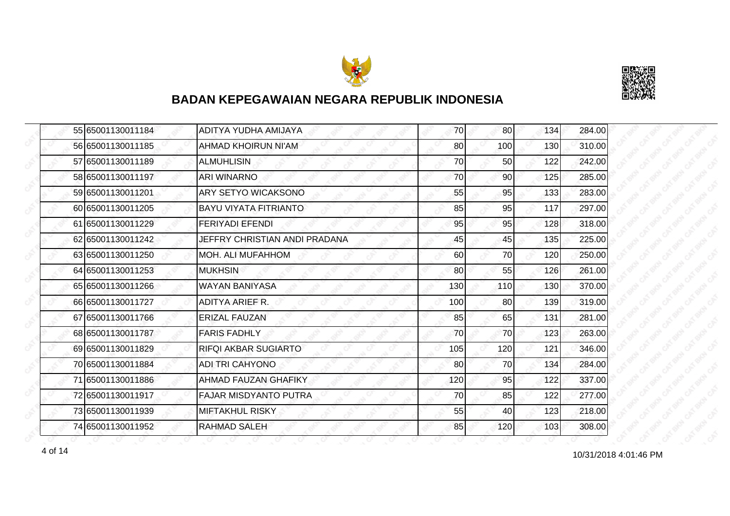



|  | 55 65001130011184 | ADITYA YUDHA AMIJAYA          | 70  | 80              | 134 | 284.00 |
|--|-------------------|-------------------------------|-----|-----------------|-----|--------|
|  | 56 65001130011185 | AHMAD KHOIRUN NI'AM           | 80  | 100             | 130 | 310.00 |
|  | 57 65001130011189 | <b>ALMUHLISIN</b>             | 70  | 50              | 122 | 242.00 |
|  | 58 65001130011197 | <b>ARI WINARNO</b>            | 70  | 90 <sub>l</sub> | 125 | 285.00 |
|  | 59 65001130011201 | ARY SETYO WICAKSONO           | 55  | 95              | 133 | 283.00 |
|  | 60 65001130011205 | <b>BAYU VIYATA FITRIANTO</b>  | 85  | 95              | 117 | 297.00 |
|  | 61 65001130011229 | <b>FERIYADI EFENDI</b>        | 95  | 95              | 128 | 318.00 |
|  | 62 65001130011242 | JEFFRY CHRISTIAN ANDI PRADANA | 45  | 45              | 135 | 225.00 |
|  | 63 65001130011250 | MOH. ALI MUFAHHOM             | 60  | 70              | 120 | 250.00 |
|  | 64 65001130011253 | <b>MUKHSIN</b>                | 80  | 55              | 126 | 261.00 |
|  | 65 65001130011266 | <b>WAYAN BANIYASA</b>         | 130 | 110             | 130 | 370.00 |
|  | 66 65001130011727 | ADITYA ARIEF R.               | 100 | 80              | 139 | 319.00 |
|  | 67 65001130011766 | <b>ERIZAL FAUZAN</b>          | 85  | 65              | 131 | 281.00 |
|  | 68 65001130011787 | <b>FARIS FADHLY</b>           | 70  | 70              | 123 | 263.00 |
|  | 69 65001130011829 | RIFQI AKBAR SUGIARTO          | 105 | 120             | 121 | 346.00 |
|  | 70 65001130011884 | <b>ADI TRI CAHYONO</b>        | 80  | 70              | 134 | 284.00 |
|  | 71 65001130011886 | <b>AHMAD FAUZAN GHAFIKY</b>   | 120 | 95              | 122 | 337.00 |
|  | 72 65001130011917 | <b>FAJAR MISDYANTO PUTRA</b>  | 70  | 85              | 122 | 277.00 |
|  | 73 65001130011939 | <b>MIFTAKHUL RISKY</b>        | 55  | 40              | 123 | 218.00 |
|  | 74 65001130011952 | <b>RAHMAD SALEH</b>           | 85  | 120             | 103 | 308.00 |

4 of 14 **10/31/2018 4:01:46 PM**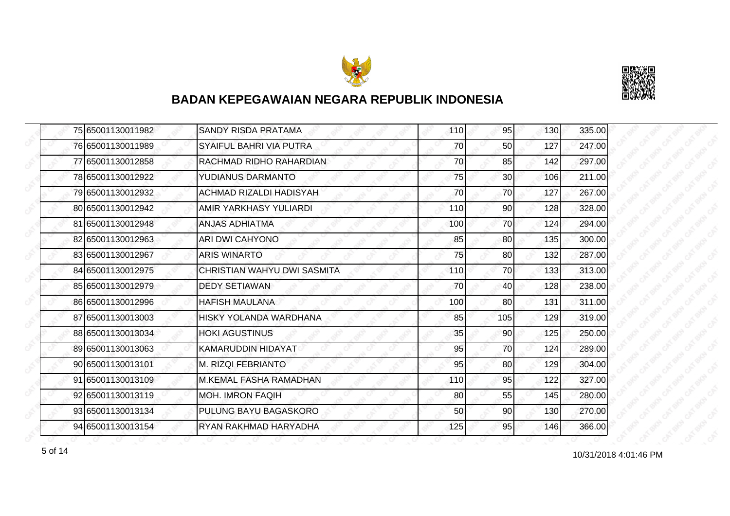



|  | 75 65001130011982 | <b>SANDY RISDA PRATAMA</b>     | 110 | 95              | 130 | 335.00 |
|--|-------------------|--------------------------------|-----|-----------------|-----|--------|
|  | 76 65001130011989 | SYAIFUL BAHRI VIA PUTRA        | 70  | 50              | 127 | 247.00 |
|  | 77 65001130012858 | RACHMAD RIDHO RAHARDIAN        | 70  | 85              | 142 | 297.00 |
|  | 78 65001130012922 | YUDIANUS DARMANTO              | 75  | 30 <sup>1</sup> | 106 | 211.00 |
|  | 79 65001130012932 | <b>ACHMAD RIZALDI HADISYAH</b> | 70  | 70              | 127 | 267.00 |
|  | 80 65001130012942 | <b>AMIR YARKHASY YULIARDI</b>  | 110 | 90              | 128 | 328.00 |
|  | 81 65001130012948 | <b>ANJAS ADHIATMA</b>          | 100 | 70I             | 124 | 294.00 |
|  | 82 65001130012963 | <b>ARI DWI CAHYONO</b>         | 85  | 80              | 135 | 300.00 |
|  | 83 65001130012967 | <b>ARIS WINARTO</b>            | 75  | 80              | 132 | 287.00 |
|  | 84 65001130012975 | CHRISTIAN WAHYU DWI SASMITA    | 110 | 70              | 133 | 313.00 |
|  | 85 65001130012979 | <b>DEDY SETIAWAN</b>           | 70  | 40              | 128 | 238.00 |
|  | 86 65001130012996 | <b>HAFISH MAULANA</b>          | 100 | 80              | 131 | 311.00 |
|  | 87 65001130013003 | <b>HISKY YOLANDA WARDHANA</b>  | 85  | 105             | 129 | 319.00 |
|  | 88 65001130013034 | <b>HOKI AGUSTINUS</b>          | 35  | 90              | 125 | 250.00 |
|  | 89 65001130013063 | KAMARUDDIN HIDAYAT             | 95  | 70              | 124 | 289.00 |
|  | 90 65001130013101 | M. RIZQI FEBRIANTO             | 95  | 80 <sup>1</sup> | 129 | 304.00 |
|  | 91 65001130013109 | <b>M.KEMAL FASHA RAMADHAN</b>  | 110 | 95              | 122 | 327.00 |
|  | 92 65001130013119 | <b>MOH. IMRON FAQIH</b>        | 80  | 55              | 145 | 280.00 |
|  | 93 65001130013134 | PULUNG BAYU BAGASKORO          | 50  | 90              | 130 | 270.00 |
|  | 94 65001130013154 | RYAN RAKHMAD HARYADHA          | 125 | 95              | 146 | 366.00 |

10/31/2018 4:01:46 PM 5 of 14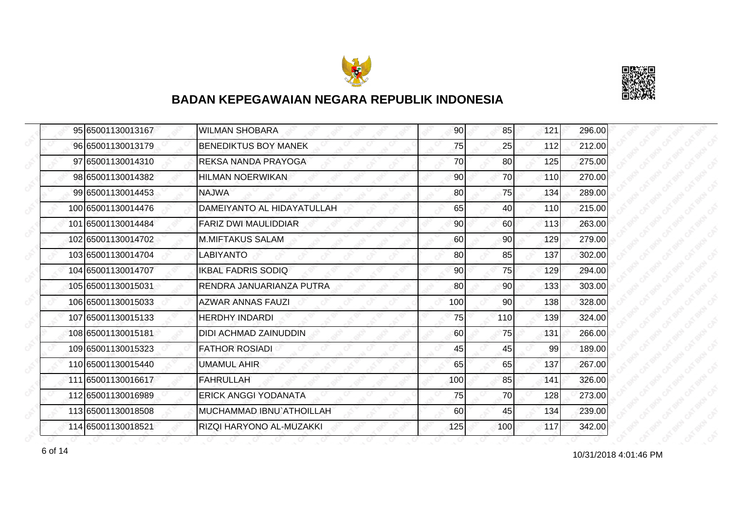



| 95 65001130013167  | <b>WILMAN SHOBARA</b>        | 90  | 85  | 121 | 296.00 |
|--------------------|------------------------------|-----|-----|-----|--------|
| 96 65001130013179  | <b>BENEDIKTUS BOY MANEK</b>  | 75  | 25  | 112 | 212.00 |
| 97 65001130014310  | REKSA NANDA PRAYOGA          | 70  | 80  | 125 | 275.00 |
| 98 65001130014382  | <b>HILMAN NOERWIKAN</b>      | 90  | 70  | 110 | 270.00 |
| 99 65001130014453  | <b>NAJWA</b>                 | 80  | 75  | 134 | 289.00 |
| 100165001130014476 | DAMEIYANTO AL HIDAYATULLAH   | 65  | 40  | 110 | 215.00 |
| 101 65001130014484 | <b>FARIZ DWI MAULIDDIAR</b>  | 90  | 60  | 113 | 263.00 |
| 102 65001130014702 | <b>M.MIFTAKUS SALAM</b>      | 60  | 90  | 129 | 279.00 |
| 103 65001130014704 | <b>LABIYANTO</b>             | 80  | 85  | 137 | 302.00 |
| 104 65001130014707 | <b>IKBAL FADRIS SODIQ</b>    | 90  | 75  | 129 | 294.00 |
| 105 65001130015031 | RENDRA JANUARIANZA PUTRA     | 80  | 90  | 133 | 303.00 |
| 106 65001130015033 | AZWAR ANNAS FAUZI            | 100 | 90  | 138 | 328.00 |
| 107 65001130015133 | <b>HERDHY INDARDI</b>        | 75  | 110 | 139 | 324.00 |
| 108 65001130015181 | <b>DIDI ACHMAD ZAINUDDIN</b> | 60  | 75  | 131 | 266.00 |
| 109 65001130015323 | <b>FATHOR ROSIADI</b>        | 45  | 45  | 99  | 189.00 |
| 110 65001130015440 | <b>UMAMUL AHIR</b>           | 65  | 65  | 137 | 267.00 |
| 111 65001130016617 | <b>FAHRULLAH</b>             | 100 | 85  | 141 | 326.00 |
| 112 65001130016989 | <b>ERICK ANGGI YODANATA</b>  | 75  | 70  | 128 | 273.00 |
| 113 65001130018508 | IMUCHAMMAD IBNU`ATHOILLAH    | 60  | 45  | 134 | 239.00 |
| 114 65001130018521 | RIZQI HARYONO AL-MUZAKKI     | 125 | 100 | 117 | 342.00 |

form that the contract of the contract of the contract of the contract of the contract of the contract of the contract of the contract of the PM form of the PM form of the PM form of the PM  $\alpha$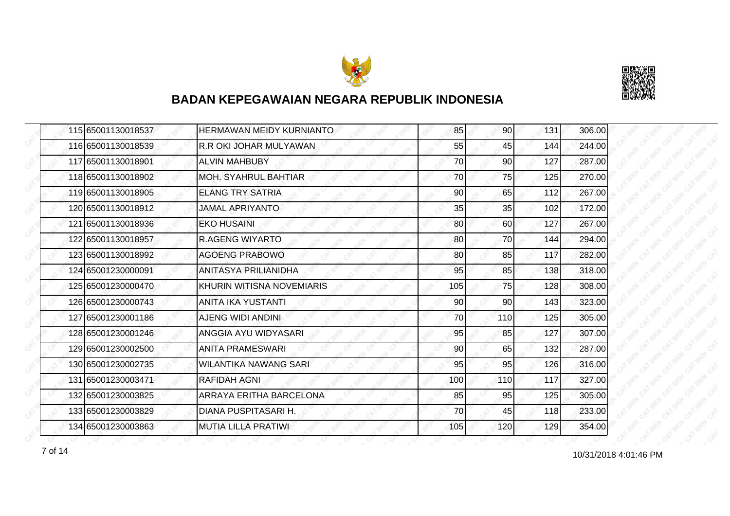



|  | 115 65001130018537 | <b>HERMAWAN MEIDY KURNIANTO</b> | 85  | <b>90</b> | 131 | 306.00 |
|--|--------------------|---------------------------------|-----|-----------|-----|--------|
|  | 116 65001130018539 | R.R OKI JOHAR MULYAWAN          | 55  | 45        | 144 | 244.00 |
|  | 117 65001130018901 | ALVIN MAHBUBY                   | 70  | 90        | 127 | 287.00 |
|  | 118 65001130018902 | <b>MOH. SYAHRUL BAHTIAR</b>     | 70  | 75        | 125 | 270.00 |
|  | 119 65001130018905 | <b>ELANG TRY SATRIA</b>         | 90  | 65        | 112 | 267.00 |
|  | 120 65001130018912 | JAMAL APRIYANTO                 | 35  | 35        | 102 | 172.00 |
|  | 121 65001130018936 | <b>EKO HUSAINI</b>              | 80  | 60        | 127 | 267.00 |
|  | 122 65001130018957 | <b>R.AGENG WIYARTO</b>          | 80  | 70        | 144 | 294.00 |
|  | 123 65001130018992 | <b>AGOENG PRABOWO</b>           | 80  | 85        | 117 | 282.00 |
|  | 124 65001230000091 | <b>ANITASYA PRILIANIDHA</b>     | 95  | 85        | 138 | 318.00 |
|  | 125 65001230000470 | KHURIN WITISNA NOVEMIARIS       | 105 | 75        | 128 | 308.00 |
|  | 126 65001230000743 | ANITA IKA YUSTANTI              | 90  | 90        | 143 | 323.00 |
|  | 127165001230001186 | <b>AJENG WIDI ANDINI</b>        | 70  | 110       | 125 | 305.00 |
|  | 128 65001230001246 | ANGGIA AYU WIDYASARI            | 95  | 85        | 127 | 307.00 |
|  | 129 65001230002500 | <b>ANITA PRAMESWARI</b>         | 90  | 65        | 132 | 287.00 |
|  | 130 65001230002735 | <b>WILANTIKA NAWANG SARI</b>    | 95  | 95        | 126 | 316.00 |
|  | 131 65001230003471 | <b>RAFIDAH AGNI</b>             | 100 | 110       | 117 | 327.00 |
|  | 132165001230003825 | ARRAYA ERITHA BARCELONA         | 85  | 95        | 125 | 305.00 |
|  | 133 65001230003829 | DIANA PUSPITASARI H.            | 70  | 45        | 118 | 233.00 |
|  | 134 65001230003863 | <b>MUTIA LILLA PRATIWI</b>      | 105 | 120       | 129 | 354.00 |

10/31/2018 4:01:46 PM 7 of 14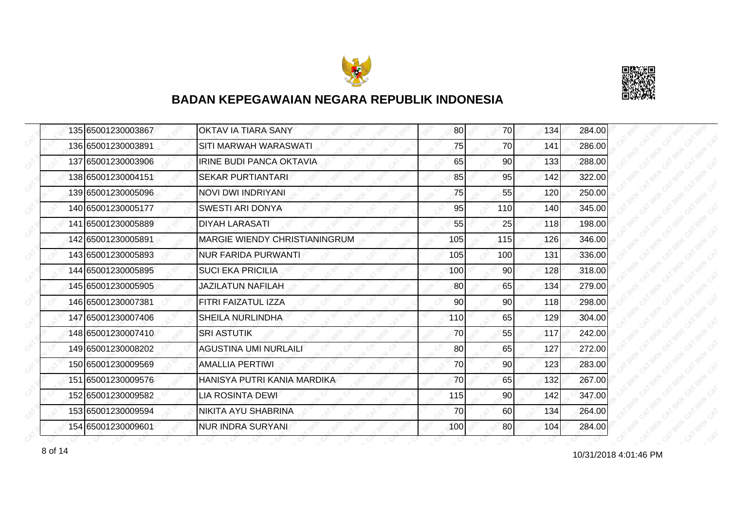



| 135 65001230003867 | OKTAV IA TIARA SANY                  | 80  | 70              | 134 | 284.00 |
|--------------------|--------------------------------------|-----|-----------------|-----|--------|
| 136 65001230003891 | SITI MARWAH WARASWATI                | 75  | 70              | 141 | 286.00 |
| 137165001230003906 | <b>IRINE BUDI PANCA OKTAVIA</b>      | 65  | 90              | 133 | 288.00 |
| 138 65001230004151 | <b>SEKAR PURTIANTARI</b>             | 85  | 95              | 142 | 322.00 |
| 139 65001230005096 | NOVI DWI INDRIYANI                   | 75  | 55              | 120 | 250.00 |
| 140 65001230005177 | SWESTI ARI DONYA                     | 95  | 110             | 140 | 345.00 |
| 141 65001230005889 | <b>DIYAH LARASATI</b>                | 55  | 25              | 118 | 198.00 |
| 142 65001230005891 | <b>MARGIE WIENDY CHRISTIANINGRUM</b> | 105 | 115             | 126 | 346.00 |
| 143 65001230005893 | <b>NUR FARIDA PURWANTI</b>           | 105 | 100             | 131 | 336.00 |
| 144 65001230005895 | <b>SUCI EKA PRICILIA</b>             | 100 | 90 <sub>0</sub> | 128 | 318.00 |
| 145 65001230005905 | JAZILATUN NAFILAH                    | 80  | 65              | 134 | 279.00 |
| 146 65001230007381 | FITRI FAIZATUL IZZA                  | 90  | 90              | 118 | 298.00 |
| 147 65001230007406 | <b>SHEILA NURLINDHA</b>              | 110 | 65              | 129 | 304.00 |
| 148 65001230007410 | <b>SRI ASTUTIK</b>                   | 70  | 55              | 117 | 242.00 |
| 149 65001230008202 | <b>AGUSTINA UMI NURLAILI</b>         | 80  | 65              | 127 | 272.00 |
| 150 65001230009569 | <b>AMALLIA PERTIWI</b>               | 70  | 90              | 123 | 283.00 |
| 151 65001230009576 | HANISYA PUTRI KANIA MARDIKA          | 70  | 65              | 132 | 267.00 |
| 152165001230009582 | <b>LIA ROSINTA DEWI</b>              | 115 | 90              | 142 | 347.00 |
| 153 65001230009594 | NIKITA AYU SHABRINA                  | 70  | 60              | 134 | 264.00 |
| 154 65001230009601 | <b>NUR INDRA SURYANI</b>             | 100 | 80              | 104 | 284.00 |

10/31/2018 4:01:46 PM 8 of 14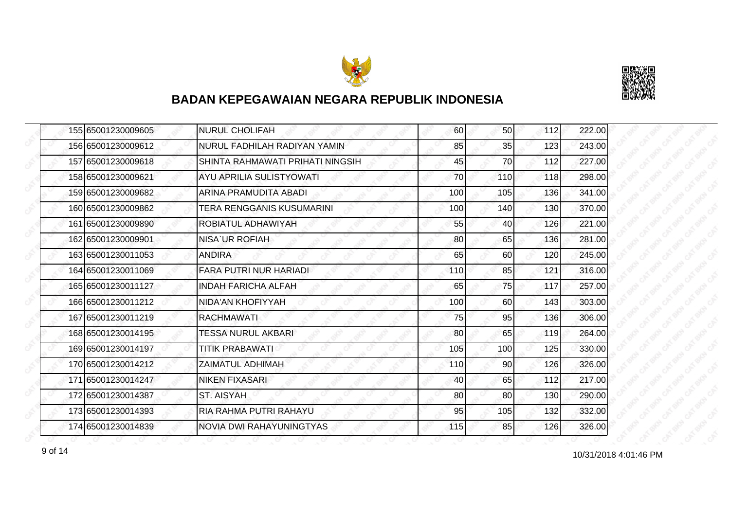



| 155 65001230009605 | <b>NURUL CHOLIFAH</b>            | 60  | 50 <sub>l</sub> | 112 | 222.00 |
|--------------------|----------------------------------|-----|-----------------|-----|--------|
| 156 65001230009612 | NURUL FADHILAH RADIYAN YAMIN     | 85  | 35              | 123 | 243.00 |
| 157 65001230009618 | SHINTA RAHMAWATI PRIHATI NINGSIH | 45  | 70              | 112 | 227.00 |
| 158 65001230009621 | AYU APRILIA SULISTYOWATI         | 70  | 110             | 118 | 298.00 |
| 159 65001230009682 | ARINA PRAMUDITA ABADI            | 100 | 105             | 136 | 341.00 |
| 160 65001230009862 | TERA RENGGANIS KUSUMARINI        | 100 | 140             | 130 | 370.00 |
| 161 65001230009890 | ROBIATUL ADHAWIYAH               | 55  | 40I             | 126 | 221.00 |
| 162 65001230009901 | NISA UR ROFIAH                   | 80  | 65              | 136 | 281.00 |
| 163 65001230011053 | <b>ANDIRA</b>                    | 65  | 60              | 120 | 245.00 |
| 164 65001230011069 | <b>FARA PUTRI NUR HARIADI</b>    | 110 | 85              | 121 | 316.00 |
| 165 65001230011127 | <b>INDAH FARICHA ALFAH</b>       | 65  | 75              | 117 | 257.00 |
| 166 65001230011212 | NIDA'AN KHOFIYYAH                | 100 | 60              | 143 | 303.00 |
| 167 65001230011219 | <b>RACHMAWATI</b>                | 75  | 95              | 136 | 306.00 |
| 168 65001230014195 | <b>TESSA NURUL AKBARI</b>        | 80  | 65              | 119 | 264.00 |
| 169 65001230014197 | <b>TITIK PRABAWATI</b>           | 105 | 100             | 125 | 330.00 |
| 170 65001230014212 | ZAIMATUL ADHIMAH                 | 110 | 90              | 126 | 326.00 |
| 171 65001230014247 | NIKEN FIXASARI                   | 40  | 65              | 112 | 217.00 |
| 172165001230014387 | ST. AISYAH                       | 80  | 80              | 130 | 290.00 |
| 173 65001230014393 | RIA RAHMA PUTRI RAHAYU           | 95  | 105             | 132 | 332.00 |
| 174 65001230014839 | NOVIA DWI RAHAYUNINGTYAS         | 115 | 85              | 126 | 326.00 |

10/31/2018 4:01:46 PM 9 of 14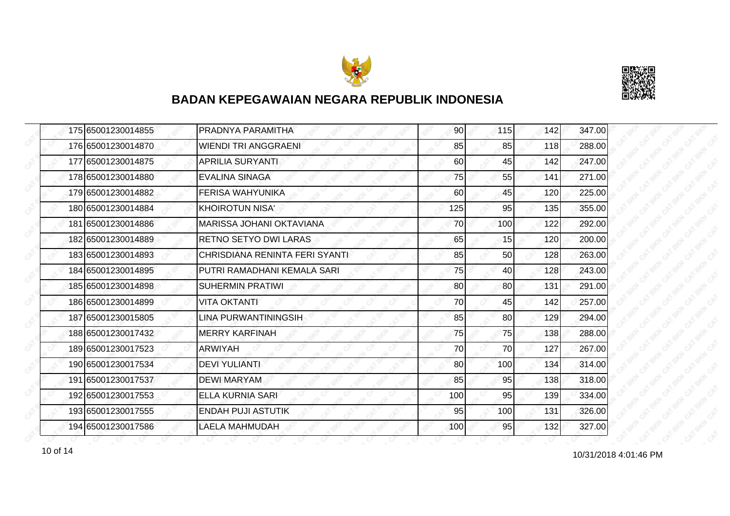



| 175 65001230014855 | <b>PRADNYA PARAMITHA</b>        | 90  | 115 | 142 | 347.00 |
|--------------------|---------------------------------|-----|-----|-----|--------|
| 176 65001230014870 | <b>WIENDI TRI ANGGRAENI</b>     | 85  | 85  | 118 | 288.00 |
| 177 65001230014875 | <b>APRILIA SURYANTI</b>         | 60  | 45  | 142 | 247.00 |
| 178 65001230014880 | <b>EVALINA SINAGA</b>           | 75  | 55  | 141 | 271.00 |
| 179 65001230014882 | <b>FERISA WAHYUNIKA</b>         | 60  | 45  | 120 | 225.00 |
| 180 65001230014884 | KHOIROTUN NISA'                 | 125 | 95  | 135 | 355.00 |
| 181 65001230014886 | <b>MARISSA JOHANI OKTAVIANA</b> | 70  | 100 | 122 | 292.00 |
| 182 65001230014889 | <b>RETNO SETYO DWI LARAS</b>    | 65  | 15  | 120 | 200.00 |
| 183 65001230014893 | CHRISDIANA RENINTA FERI SYANTI  | 85  | 50  | 128 | 263.00 |
| 184 65001230014895 | PUTRI RAMADHANI KEMALA SARI     | 75  | 40  | 128 | 243.00 |
| 185 65001230014898 | <b>SUHERMIN PRATIWI</b>         | 80  | 80  | 131 | 291.00 |
| 186 65001230014899 | <b>VITA OKTANTI</b>             | 70  | 45  | 142 | 257.00 |
| 187 65001230015805 | LINA PURWANTININGSIH            | 85  | 80  | 129 | 294.00 |
| 188 65001230017432 | <b>MERRY KARFINAH</b>           | 75  | 75  | 138 | 288.00 |
| 189 65001230017523 | <b>ARWIYAH</b>                  | 70  | 70  | 127 | 267.00 |
| 190 65001230017534 | <b>DEVI YULIANTI</b>            | 80  | 100 | 134 | 314.00 |
| 191 65001230017537 | <b>DEWI MARYAM</b>              | 85  | 95  | 138 | 318.00 |
| 192 65001230017553 | ELLA KURNIA SARI                | 100 | 95  | 139 | 334.00 |
| 193 65001230017555 | <b>ENDAH PUJI ASTUTIK</b>       | 95  | 100 | 131 | 326.00 |
| 194 65001230017586 | <b>LAELA MAHMUDAH</b>           | 100 | 95  | 132 | 327.00 |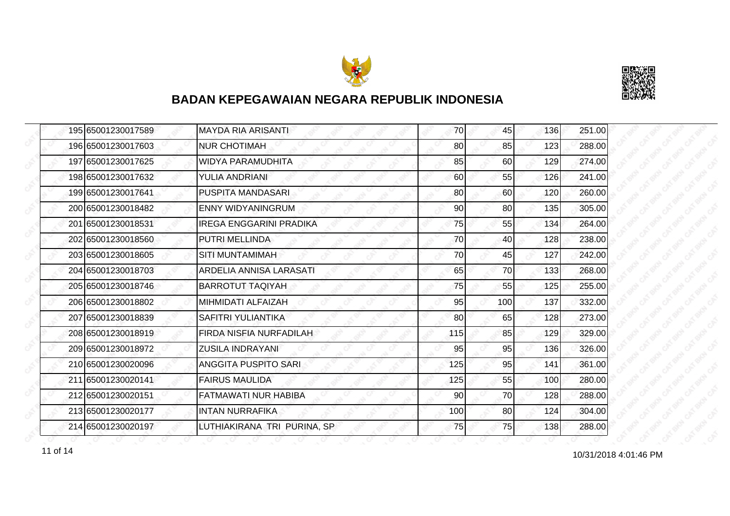



|  | 195 65001230017589 | <b>MAYDA RIA ARISANTI</b>      | 70  | 45  | 136 | 251.00 |
|--|--------------------|--------------------------------|-----|-----|-----|--------|
|  | 196 65001230017603 | <b>NUR CHOTIMAH</b>            | 80  | 85  | 123 | 288.00 |
|  | 197 65001230017625 | <b>WIDYA PARAMUDHITA</b>       | 85  | 60  | 129 | 274.00 |
|  | 198 65001230017632 | YULIA ANDRIANI                 | 60  | 55  | 126 | 241.00 |
|  | 199 65001230017641 | PUSPITA MANDASARI              | 80  | 60  | 120 | 260.00 |
|  | 200 65001230018482 | <b>ENNY WIDYANINGRUM</b>       | 90  | 80  | 135 | 305.00 |
|  | 201 65001230018531 | <b>IREGA ENGGARINI PRADIKA</b> | 75  | 55  | 134 | 264.00 |
|  | 202 65001230018560 | PUTRI MELLINDA                 | 70  | 40  | 128 | 238.00 |
|  | 203 65001230018605 | SITI MUNTAMIMAH                | 70  | 45  | 127 | 242.00 |
|  | 204 65001230018703 | ARDELIA ANNISA LARASATI        | 65  | 70  | 133 | 268.00 |
|  | 205 65001230018746 | <b>BARROTUT TAQIYAH</b>        | 75  | 55  | 125 | 255.00 |
|  | 206 65001230018802 | MIHMIDATI ALFAIZAH             | 95  | 100 | 137 | 332.00 |
|  | 207 65001230018839 | SAFITRI YULIANTIKA             | 80  | 65  | 128 | 273.00 |
|  | 208 65001230018919 | FIRDA NISFIA NURFADILAH        | 115 | 85  | 129 | 329.00 |
|  | 209 65001230018972 | <b>ZUSILA INDRAYANI</b>        | 95  | 95  | 136 | 326.00 |
|  | 210 65001230020096 | <b>ANGGITA PUSPITO SARI</b>    | 125 | 95  | 141 | 361.00 |
|  | 211 65001230020141 | <b>FAIRUS MAULIDA</b>          | 125 | 55  | 100 | 280.00 |
|  | 212 65001230020151 | <b>FATMAWATI NUR HABIBA</b>    | 90  | 70  | 128 | 288.00 |
|  | 213 65001230020177 | <b>INTAN NURRAFIKA</b>         | 100 | 80  | 124 | 304.00 |
|  | 214 65001230020197 | LUTHIAKIRANA TRI PURINA, SP    | 75  | 75  | 138 | 288.00 |

11 of 14 10/31/2018 4:01:46 PM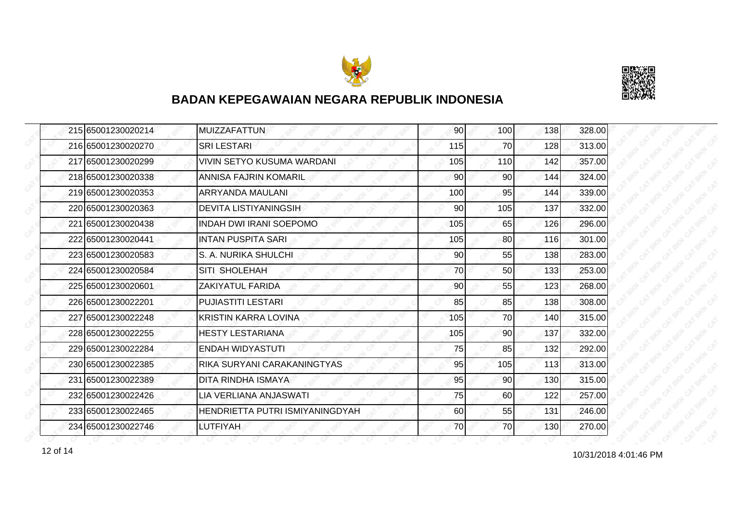



| 215 65001230020214 | <b>MUIZZAFATTUN</b>             | 90  | 100             | 138 | 328.00 |
|--------------------|---------------------------------|-----|-----------------|-----|--------|
| 216 65001230020270 | <b>SRILESTARI</b>               | 115 | 70              | 128 | 313.00 |
| 217165001230020299 | VIVIN SETYO KUSUMA WARDANI      | 105 | 110             | 142 | 357.00 |
| 218 65001230020338 | <b>ANNISA FAJRIN KOMARIL</b>    | 90  | 90 <sub>l</sub> | 144 | 324.00 |
| 219 65001230020353 | ARRYANDA MAULANI                | 100 | 95              | 144 | 339.00 |
| 220165001230020363 | <b>DEVITA LISTIYANINGSIH</b>    | 90  | 105             | 137 | 332.00 |
| 221 65001230020438 | <b>INDAH DWI IRANI SOEPOMO</b>  | 105 | 65              | 126 | 296.00 |
| 222 65001230020441 | INTAN PUSPITA SARI              | 105 | 80              | 116 | 301.00 |
| 223 65001230020583 | S. A. NURIKA SHULCHI            | 90  | 55              | 138 | 283.00 |
| 224 65001230020584 | SITI SHOLEHAH                   | 70  | 50 <sub>l</sub> | 133 | 253.00 |
| 225 65001230020601 | ZAKIYATUL FARIDA                | 90  | 55              | 123 | 268.00 |
| 226 65001230022201 | <b>PUJIASTITI LESTARI</b>       | 85  | 85              | 138 | 308.00 |
| 227 65001230022248 | <b>KRISTIN KARRA LOVINA</b>     | 105 | 70              | 140 | 315.00 |
| 228 65001230022255 | <b>HESTY LESTARIANA</b>         | 105 | 90 <sub>1</sub> | 137 | 332.00 |
| 229 65001230022284 | <b>ENDAH WIDYASTUTI</b>         | 75  | 85              | 132 | 292.00 |
| 230 65001230022385 | RIKA SURYANI CARAKANINGTYAS     | 95  | 105             | 113 | 313.00 |
| 231 65001230022389 | DITA RINDHA ISMAYA              | 95  | 90              | 130 | 315.00 |
| 232 65001230022426 | LIA VERLIANA ANJASWATI          | 75  | 60              | 122 | 257.00 |
| 233 65001230022465 | HENDRIETTA PUTRI ISMIYANINGDYAH | 60  | 55              | 131 | 246.00 |
| 234 65001230022746 | <b>LUTFIYAH</b>                 | 70  | 70I             | 130 | 270.00 |

12 of 14 **10/31/2018 4:01:46 PM**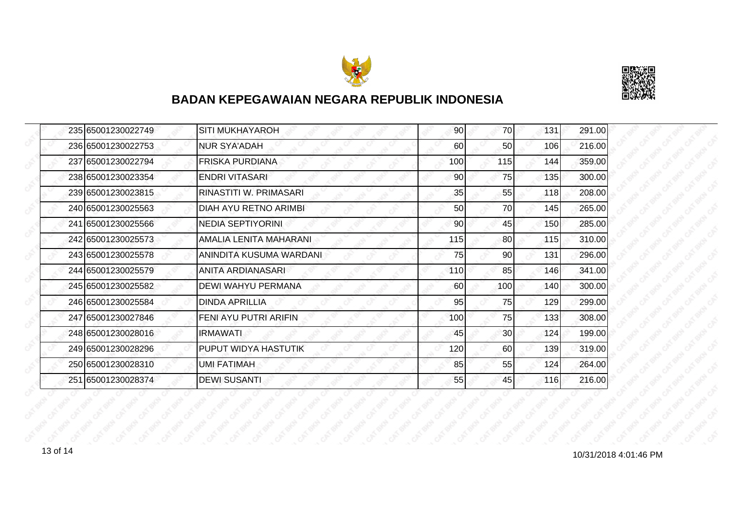



|  | 235 65001230022749 | <b>SITI MUKHAYAROH</b>       | 90  | 70              | 131 | 291.00 |
|--|--------------------|------------------------------|-----|-----------------|-----|--------|
|  | 236 65001230022753 | <b>NUR SYA'ADAH</b>          | 60  | 50              | 106 | 216.00 |
|  | 237 65001230022794 | FRISKA PURDIANA              | 100 | 115             | 144 | 359.00 |
|  | 238 65001230023354 | <b>ENDRI VITASARI</b>        | 90  | 75              | 135 | 300.00 |
|  | 239165001230023815 | RINASTITI W. PRIMASARI       | 35  | 55              | 118 | 208.00 |
|  | 240 65001230025563 | <b>DIAH AYU RETNO ARIMBI</b> | 50  | 70              | 145 | 265.00 |
|  | 241 65001230025566 | <b>NEDIA SEPTIYORINI</b>     | 90  | 45              | 150 | 285.00 |
|  | 242 65001230025573 | AMALIA LENITA MAHARANI       | 115 | 80              | 115 | 310.00 |
|  | 243 65001230025578 | ANINDITA KUSUMA WARDANI      | 75  | 90              | 131 | 296.00 |
|  | 244 65001230025579 | ANITA ARDIANASARI            | 110 | 85              | 146 | 341.00 |
|  | 245 65001230025582 | DEWI WAHYU PERMANA           | 60  | 100             | 140 | 300.00 |
|  | 246 65001230025584 | <b>DINDA APRILLIA</b>        | 95  | 75              | 129 | 299.00 |
|  | 247 65001230027846 | FENI AYU PUTRI ARIFIN        | 100 | 75              | 133 | 308.00 |
|  | 248 65001230028016 | IRMAWATI                     | 45  | 30 <sup>1</sup> | 124 | 199.00 |
|  | 249 65001230028296 | PUPUT WIDYA HASTUTIK         | 120 | 60              | 139 | 319.00 |
|  | 250 65001230028310 | UMI FATIMAH                  | 85  | 55              | 124 | 264.00 |
|  | 251 65001230028374 | <b>DEWI SUSANTI</b>          | 55  | 45              | 116 | 216.00 |